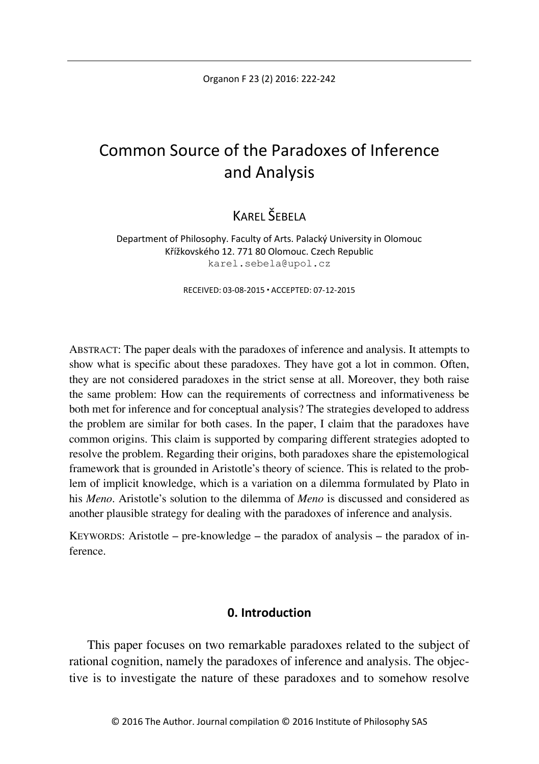Organon F 23 (2) 2016: 222-242

# Common Source of the Paradoxes of Inference and Analysis

# KAREL ŠEBELA

Department of Philosophy. Faculty of Arts. Palacký University in Olomouc Křížkovského 12. 771 80 Olomouc. Czech Republic karel.sebela@upol.cz

RECEIVED: 03-08-2015 ACCEPTED: 07-12-2015

ABSTRACT: The paper deals with the paradoxes of inference and analysis. It attempts to show what is specific about these paradoxes. They have got a lot in common. Often, they are not considered paradoxes in the strict sense at all. Moreover, they both raise the same problem: How can the requirements of correctness and informativeness be both met for inference and for conceptual analysis? The strategies developed to address the problem are similar for both cases. In the paper, I claim that the paradoxes have common origins. This claim is supported by comparing different strategies adopted to resolve the problem. Regarding their origins, both paradoxes share the epistemological framework that is grounded in Aristotle's theory of science. This is related to the problem of implicit knowledge, which is a variation on a dilemma formulated by Plato in his *Meno*. Aristotle's solution to the dilemma of *Meno* is discussed and considered as another plausible strategy for dealing with the paradoxes of inference and analysis.

KEYWORDS: Aristotle – pre-knowledge – the paradox of analysis – the paradox of inference.

# **0. Introduction**

This paper focuses on two remarkable paradoxes related to the subject of rational cognition, namely the paradoxes of inference and analysis. The objective is to investigate the nature of these paradoxes and to somehow resolve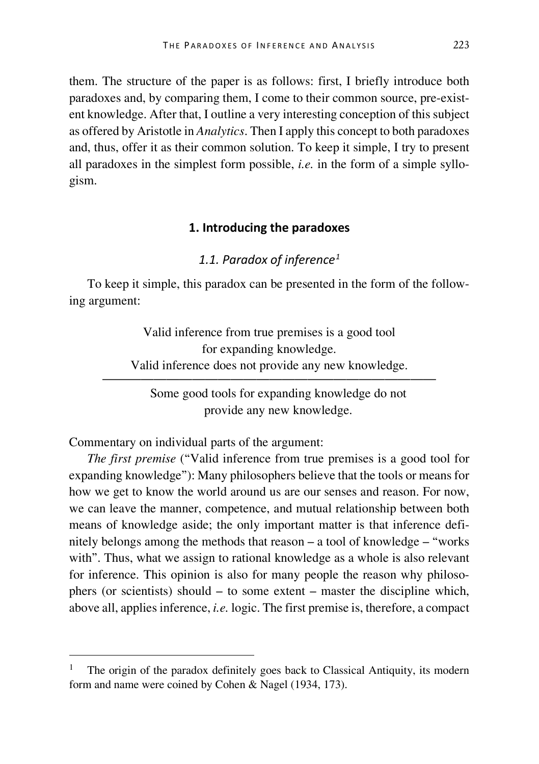them. The structure of the paper is as follows: first, I briefly introduce both paradoxes and, by comparing them, I come to their common source, pre-existent knowledge. After that, I outline a very interesting conception of this subject as offered by Aristotle in *Analytics*. Then I apply this concept to both paradoxes and, thus, offer it as their common solution. To keep it simple, I try to present all paradoxes in the simplest form possible, *i.e.* in the form of a simple syllogism.

#### **1. Introducing the paradoxes**

# *1.1. Paradox of inference[1](#page-1-0)*

To keep it simple, this paradox can be presented in the form of the following argument:

> Valid inference from true premises is a good tool for expanding knowledge. Valid inference does not provide any new knowledge.

—————————————————————————— Some good tools for expanding knowledge do not provide any new knowledge.

Commentary on individual parts of the argument:

*The first premise* ("Valid inference from true premises is a good tool for expanding knowledge"): Many philosophers believe that the tools or means for how we get to know the world around us are our senses and reason. For now, we can leave the manner, competence, and mutual relationship between both means of knowledge aside; the only important matter is that inference definitely belongs among the methods that reason – a tool of knowledge – "works with". Thus, what we assign to rational knowledge as a whole is also relevant for inference. This opinion is also for many people the reason why philosophers (or scientists) should – to some extent – master the discipline which, above all, applies inference, *i.e.* logic. The first premise is, therefore, a compact

<span id="page-1-0"></span> <sup>1</sup> The origin of the paradox definitely goes back to Classical Antiquity, its modern form and name were coined by Cohen & Nagel (1934, 173).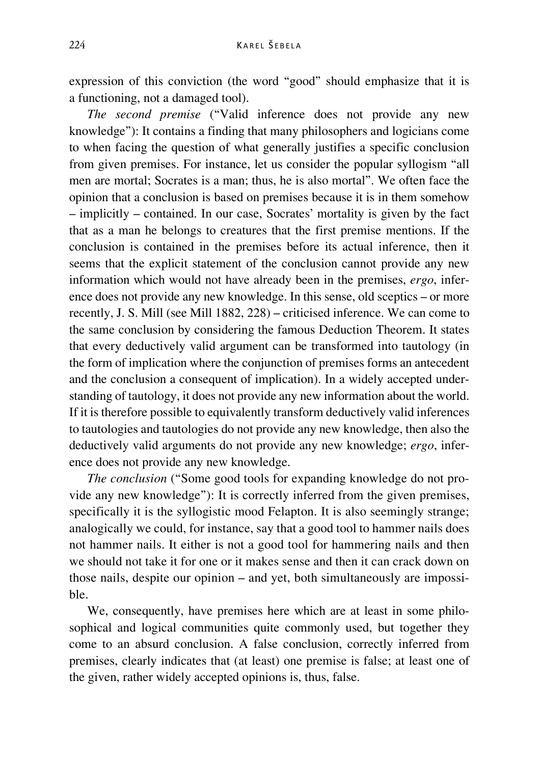expression of this conviction (the word "good" should emphasize that it is a functioning, not a damaged tool).

*The second premise* ("Valid inference does not provide any new knowledge"): It contains a finding that many philosophers and logicians come to when facing the question of what generally justifies a specific conclusion from given premises. For instance, let us consider the popular syllogism "all men are mortal; Socrates is a man; thus, he is also mortal". We often face the opinion that a conclusion is based on premises because it is in them somehow – implicitly – contained. In our case, Socrates' mortality is given by the fact that as a man he belongs to creatures that the first premise mentions. If the conclusion is contained in the premises before its actual inference, then it seems that the explicit statement of the conclusion cannot provide any new information which would not have already been in the premises, *ergo*, inference does not provide any new knowledge. In this sense, old sceptics – or more recently, J. S. Mill (see Mill 1882, 228) – criticised inference. We can come to the same conclusion by considering the famous Deduction Theorem. It states that every deductively valid argument can be transformed into tautology (in the form of implication where the conjunction of premises forms an antecedent and the conclusion a consequent of implication). In a widely accepted understanding of tautology, it does not provide any new information about the world. If it is therefore possible to equivalently transform deductively valid inferences to tautologies and tautologies do not provide any new knowledge, then also the deductively valid arguments do not provide any new knowledge; *ergo*, inference does not provide any new knowledge.

*The conclusion* ("Some good tools for expanding knowledge do not provide any new knowledge"): It is correctly inferred from the given premises, specifically it is the syllogistic mood Felapton. It is also seemingly strange; analogically we could, for instance, say that a good tool to hammer nails does not hammer nails. It either is not a good tool for hammering nails and then we should not take it for one or it makes sense and then it can crack down on those nails, despite our opinion – and yet, both simultaneously are impossible.

We, consequently, have premises here which are at least in some philosophical and logical communities quite commonly used, but together they come to an absurd conclusion. A false conclusion, correctly inferred from premises, clearly indicates that (at least) one premise is false; at least one of the given, rather widely accepted opinions is, thus, false.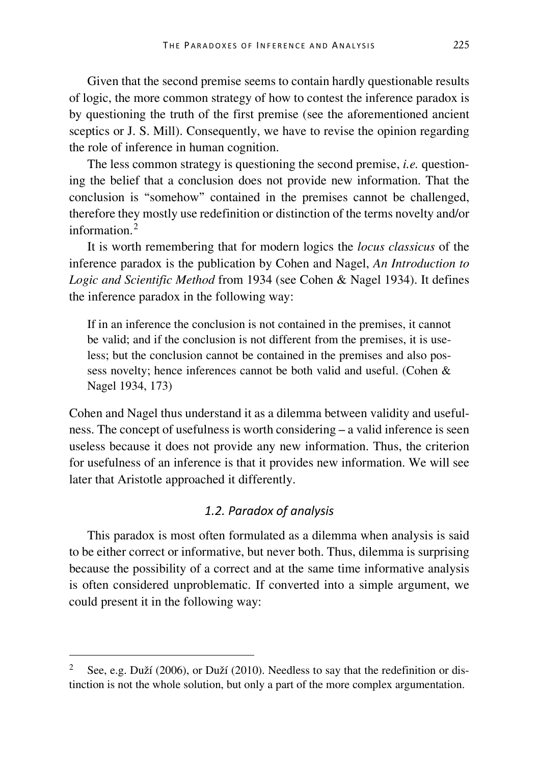Given that the second premise seems to contain hardly questionable results of logic, the more common strategy of how to contest the inference paradox is by questioning the truth of the first premise (see the aforementioned ancient sceptics or J. S. Mill). Consequently, we have to revise the opinion regarding the role of inference in human cognition.

The less common strategy is questioning the second premise, *i.e.* questioning the belief that a conclusion does not provide new information. That the conclusion is "somehow" contained in the premises cannot be challenged, therefore they mostly use redefinition or distinction of the terms novelty and/or information<sup>[2](#page-3-0)</sup>

It is worth remembering that for modern logics the *locus classicus* of the inference paradox is the publication by Cohen and Nagel, *An Introduction to Logic and Scientific Method* from 1934 (see Cohen & Nagel 1934). It defines the inference paradox in the following way:

If in an inference the conclusion is not contained in the premises, it cannot be valid; and if the conclusion is not different from the premises, it is useless; but the conclusion cannot be contained in the premises and also possess novelty; hence inferences cannot be both valid and useful. (Cohen & Nagel 1934, 173)

Cohen and Nagel thus understand it as a dilemma between validity and usefulness. The concept of usefulness is worth considering – a valid inference is seen useless because it does not provide any new information. Thus, the criterion for usefulness of an inference is that it provides new information. We will see later that Aristotle approached it differently.

# *1.2. Paradox of analysis*

This paradox is most often formulated as a dilemma when analysis is said to be either correct or informative, but never both. Thus, dilemma is surprising because the possibility of a correct and at the same time informative analysis is often considered unproblematic. If converted into a simple argument, we could present it in the following way:

<span id="page-3-0"></span><sup>&</sup>lt;sup>2</sup> See, e.g. Duží (2006), or Duží (2010). Needless to say that the redefinition or distinction is not the whole solution, but only a part of the more complex argumentation.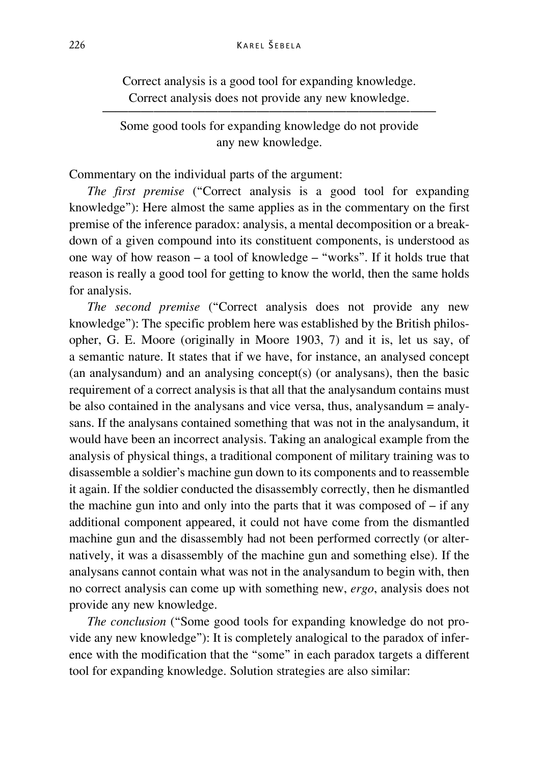Correct analysis is a good tool for expanding knowledge. Correct analysis does not provide any new knowledge.

—————————————————————————— Some good tools for expanding knowledge do not provide any new knowledge.

Commentary on the individual parts of the argument:

*The first premise* ("Correct analysis is a good tool for expanding knowledge"): Here almost the same applies as in the commentary on the first premise of the inference paradox: analysis, a mental decomposition or a breakdown of a given compound into its constituent components, is understood as one way of how reason – a tool of knowledge – "works". If it holds true that reason is really a good tool for getting to know the world, then the same holds for analysis.

*The second premise* ("Correct analysis does not provide any new knowledge"): The specific problem here was established by the British philosopher, G. E. Moore (originally in Moore 1903, 7) and it is, let us say, of a semantic nature. It states that if we have, for instance, an analysed concept (an analysandum) and an analysing concept(s) (or analysans), then the basic requirement of a correct analysis is that all that the analysandum contains must be also contained in the analysans and vice versa, thus, analysandum = analysans. If the analysans contained something that was not in the analysandum, it would have been an incorrect analysis. Taking an analogical example from the analysis of physical things, a traditional component of military training was to disassemble a soldier's machine gun down to its components and to reassemble it again. If the soldier conducted the disassembly correctly, then he dismantled the machine gun into and only into the parts that it was composed of  $-$  if any additional component appeared, it could not have come from the dismantled machine gun and the disassembly had not been performed correctly (or alternatively, it was a disassembly of the machine gun and something else). If the analysans cannot contain what was not in the analysandum to begin with, then no correct analysis can come up with something new, *ergo*, analysis does not provide any new knowledge.

*The conclusion* ("Some good tools for expanding knowledge do not provide any new knowledge"): It is completely analogical to the paradox of inference with the modification that the "some" in each paradox targets a different tool for expanding knowledge. Solution strategies are also similar: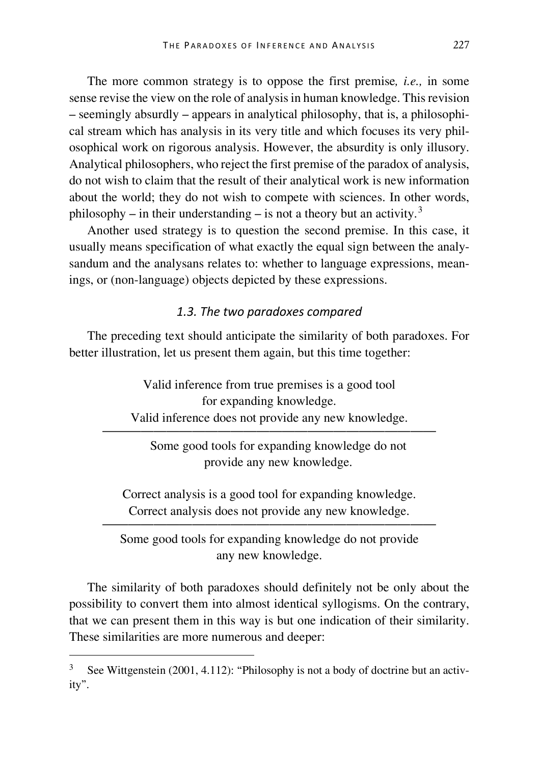The more common strategy is to oppose the first premise*, i.e.,* in some sense revise the view on the role of analysis in human knowledge. This revision – seemingly absurdly – appears in analytical philosophy, that is, a philosophical stream which has analysis in its very title and which focuses its very philosophical work on rigorous analysis. However, the absurdity is only illusory. Analytical philosophers, who reject the first premise of the paradox of analysis, do not wish to claim that the result of their analytical work is new information about the world; they do not wish to compete with sciences. In other words, philosophy – in their understanding – is not a theory but an activity.<sup>[3](#page-5-0)</sup>

Another used strategy is to question the second premise. In this case, it usually means specification of what exactly the equal sign between the analysandum and the analysans relates to: whether to language expressions, meanings, or (non-language) objects depicted by these expressions.

# *1.3. The two paradoxes compared*

The preceding text should anticipate the similarity of both paradoxes. For better illustration, let us present them again, but this time together:

> Valid inference from true premises is a good tool for expanding knowledge. Valid inference does not provide any new knowledge.

——————————————————————————

Some good tools for expanding knowledge do not provide any new knowledge.

Correct analysis is a good tool for expanding knowledge. Correct analysis does not provide any new knowledge.

—————————————————————————— Some good tools for expanding knowledge do not provide any new knowledge.

The similarity of both paradoxes should definitely not be only about the possibility to convert them into almost identical syllogisms. On the contrary, that we can present them in this way is but one indication of their similarity. These similarities are more numerous and deeper:

<span id="page-5-0"></span> <sup>3</sup> See Wittgenstein (2001, 4.112): "Philosophy is not a body of doctrine but an activity".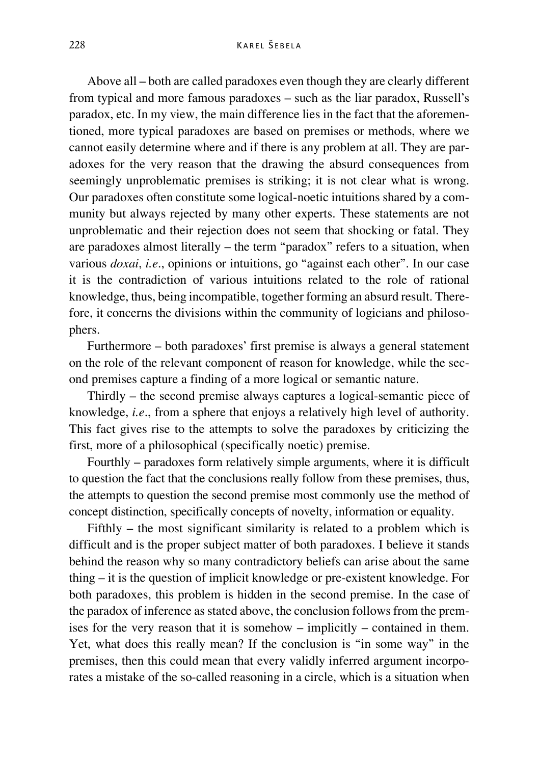Above all – both are called paradoxes even though they are clearly different from typical and more famous paradoxes – such as the liar paradox, Russell's paradox, etc. In my view, the main difference lies in the fact that the aforementioned, more typical paradoxes are based on premises or methods, where we cannot easily determine where and if there is any problem at all. They are paradoxes for the very reason that the drawing the absurd consequences from seemingly unproblematic premises is striking; it is not clear what is wrong. Our paradoxes often constitute some logical-noetic intuitions shared by a community but always rejected by many other experts. These statements are not unproblematic and their rejection does not seem that shocking or fatal. They are paradoxes almost literally – the term "paradox" refers to a situation, when various *doxai*, *i.e*., opinions or intuitions, go "against each other". In our case it is the contradiction of various intuitions related to the role of rational knowledge, thus, being incompatible, together forming an absurd result. Therefore, it concerns the divisions within the community of logicians and philosophers.

Furthermore – both paradoxes' first premise is always a general statement on the role of the relevant component of reason for knowledge, while the second premises capture a finding of a more logical or semantic nature.

Thirdly – the second premise always captures a logical-semantic piece of knowledge, *i.e*., from a sphere that enjoys a relatively high level of authority. This fact gives rise to the attempts to solve the paradoxes by criticizing the first, more of a philosophical (specifically noetic) premise.

Fourthly – paradoxes form relatively simple arguments, where it is difficult to question the fact that the conclusions really follow from these premises, thus, the attempts to question the second premise most commonly use the method of concept distinction, specifically concepts of novelty, information or equality.

Fifthly – the most significant similarity is related to a problem which is difficult and is the proper subject matter of both paradoxes. I believe it stands behind the reason why so many contradictory beliefs can arise about the same thing – it is the question of implicit knowledge or pre-existent knowledge. For both paradoxes, this problem is hidden in the second premise. In the case of the paradox of inference as stated above, the conclusion follows from the premises for the very reason that it is somehow – implicitly – contained in them. Yet, what does this really mean? If the conclusion is "in some way" in the premises, then this could mean that every validly inferred argument incorporates a mistake of the so-called reasoning in a circle, which is a situation when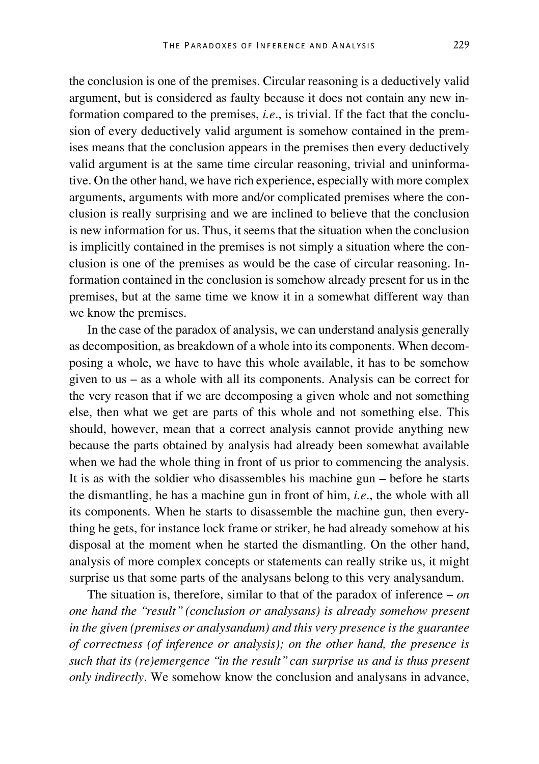the conclusion is one of the premises. Circular reasoning is a deductively valid argument, but is considered as faulty because it does not contain any new information compared to the premises, *i.e*., is trivial. If the fact that the conclusion of every deductively valid argument is somehow contained in the premises means that the conclusion appears in the premises then every deductively valid argument is at the same time circular reasoning, trivial and uninformative. On the other hand, we have rich experience, especially with more complex arguments, arguments with more and/or complicated premises where the conclusion is really surprising and we are inclined to believe that the conclusion is new information for us. Thus, it seems that the situation when the conclusion is implicitly contained in the premises is not simply a situation where the conclusion is one of the premises as would be the case of circular reasoning. Information contained in the conclusion is somehow already present for us in the premises, but at the same time we know it in a somewhat different way than we know the premises.

In the case of the paradox of analysis, we can understand analysis generally as decomposition, as breakdown of a whole into its components. When decomposing a whole, we have to have this whole available, it has to be somehow given to us – as a whole with all its components. Analysis can be correct for the very reason that if we are decomposing a given whole and not something else, then what we get are parts of this whole and not something else. This should, however, mean that a correct analysis cannot provide anything new because the parts obtained by analysis had already been somewhat available when we had the whole thing in front of us prior to commencing the analysis. It is as with the soldier who disassembles his machine gun – before he starts the dismantling, he has a machine gun in front of him, *i.e*., the whole with all its components. When he starts to disassemble the machine gun, then everything he gets, for instance lock frame or striker, he had already somehow at his disposal at the moment when he started the dismantling. On the other hand, analysis of more complex concepts or statements can really strike us, it might surprise us that some parts of the analysans belong to this very analysandum.

The situation is, therefore, similar to that of the paradox of inference – *on one hand the "result" (conclusion or analysans) is already somehow present in the given (premises or analysandum) and this very presence is the guarantee of correctness (of inference or analysis); on the other hand, the presence is such that its (re)emergence "in the result" can surprise us and is thus present only indirectly*. We somehow know the conclusion and analysans in advance,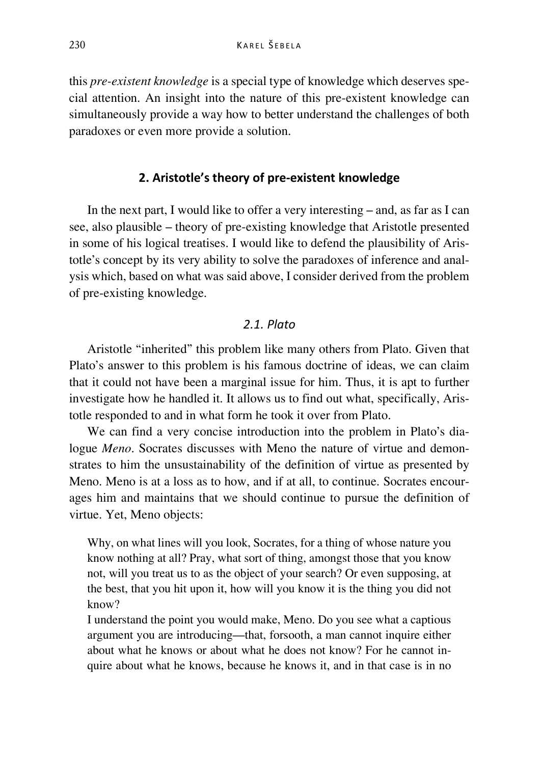this *pre-existent knowledge* is a special type of knowledge which deserves special attention. An insight into the nature of this pre-existent knowledge can simultaneously provide a way how to better understand the challenges of both paradoxes or even more provide a solution.

# **2. Aristotle's theory of pre-existent knowledge**

In the next part, I would like to offer a very interesting – and, as far as I can see, also plausible – theory of pre-existing knowledge that Aristotle presented in some of his logical treatises. I would like to defend the plausibility of Aristotle's concept by its very ability to solve the paradoxes of inference and analysis which, based on what was said above, I consider derived from the problem of pre-existing knowledge.

# *2.1. Plato*

Aristotle "inherited" this problem like many others from Plato. Given that Plato's answer to this problem is his famous doctrine of ideas, we can claim that it could not have been a marginal issue for him. Thus, it is apt to further investigate how he handled it. It allows us to find out what, specifically, Aristotle responded to and in what form he took it over from Plato.

We can find a very concise introduction into the problem in Plato's dialogue *Meno*. Socrates discusses with Meno the nature of virtue and demonstrates to him the unsustainability of the definition of virtue as presented by Meno. Meno is at a loss as to how, and if at all, to continue. Socrates encourages him and maintains that we should continue to pursue the definition of virtue. Yet, Meno objects:

Why, on what lines will you look, Socrates, for a thing of whose nature you know nothing at all? Pray, what sort of thing, amongst those that you know not, will you treat us to as the object of your search? Or even supposing, at the best, that you hit upon it, how will you know it is the thing you did not know?

I understand the point you would make, Meno. Do you see what a captious argument you are introducing—that, forsooth, a man cannot inquire either about what he knows or about what he does not know? For he cannot inquire about what he knows, because he knows it, and in that case is in no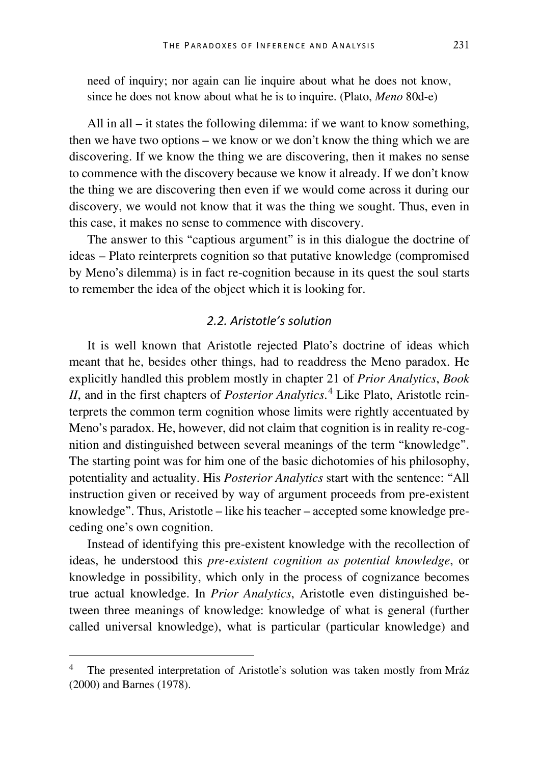need of inquiry; nor again can lie inquire about what he does not know, since he does not know about what he is to inquire. (Plato, *Meno* 80d-e)

All in all – it states the following dilemma: if we want to know something, then we have two options – we know or we don't know the thing which we are discovering. If we know the thing we are discovering, then it makes no sense to commence with the discovery because we know it already. If we don't know the thing we are discovering then even if we would come across it during our discovery, we would not know that it was the thing we sought. Thus, even in this case, it makes no sense to commence with discovery.

The answer to this "captious argument" is in this dialogue the doctrine of ideas – Plato reinterprets cognition so that putative knowledge (compromised by Meno's dilemma) is in fact re-cognition because in its quest the soul starts to remember the idea of the object which it is looking for.

# *2.2. Aristotle's solution*

It is well known that Aristotle rejected Plato's doctrine of ideas which meant that he, besides other things, had to readdress the Meno paradox. He explicitly handled this problem mostly in chapter 21 of *Prior Analytics*, *Book II*, and in the first chapters of *Posterior Analytics*. [4](#page-9-0) Like Plato, Aristotle reinterprets the common term cognition whose limits were rightly accentuated by Meno's paradox. He, however, did not claim that cognition is in reality re-cognition and distinguished between several meanings of the term "knowledge". The starting point was for him one of the basic dichotomies of his philosophy, potentiality and actuality. His *Posterior Analytics* start with the sentence: "All instruction given or received by way of argument proceeds from pre-existent knowledge". Thus, Aristotle – like his teacher – accepted some knowledge preceding one's own cognition.

Instead of identifying this pre-existent knowledge with the recollection of ideas, he understood this *pre-existent cognition as potential knowledge*, or knowledge in possibility, which only in the process of cognizance becomes true actual knowledge. In *Prior Analytics*, Aristotle even distinguished between three meanings of knowledge: knowledge of what is general (further called universal knowledge), what is particular (particular knowledge) and

<span id="page-9-0"></span> <sup>4</sup> The presented interpretation of Aristotle's solution was taken mostly from Mráz (2000) and Barnes (1978).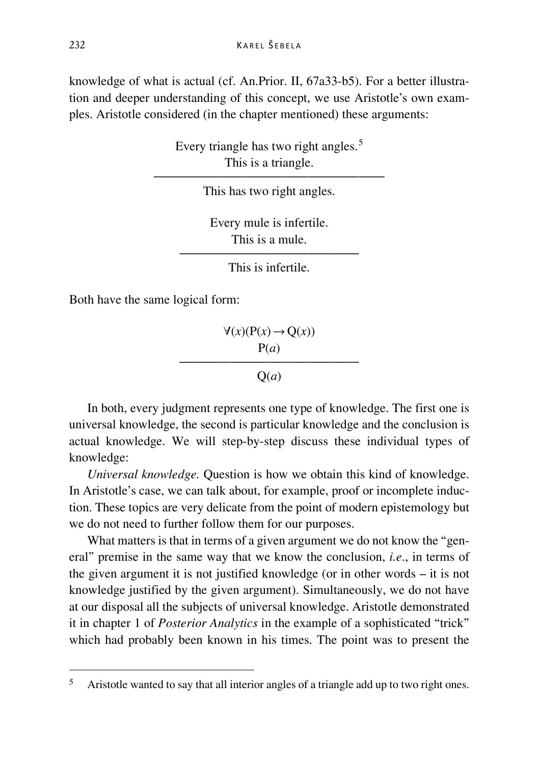knowledge of what is actual (cf. An.Prior. II, 67a33-b5). For a better illustration and deeper understanding of this concept, we use Aristotle's own examples. Aristotle considered (in the chapter mentioned) these arguments:

> Every triangle has two right angles.<sup>[5](#page-10-0)</sup> This is a triangle.

—————————————————— This has two right angles.

> Every mule is infertile. This is a mule.

—————————————— This is infertile.

Both have the same logical form:

 $\forall$ (*x*)( $P(x)$  →  $Q(x)$ ) P(*a*) ——————————————

 $O(a)$ 

In both, every judgment represents one type of knowledge. The first one is universal knowledge, the second is particular knowledge and the conclusion is actual knowledge. We will step-by-step discuss these individual types of knowledge:

*Universal knowledge.* Question is how we obtain this kind of knowledge. In Aristotle's case, we can talk about, for example, proof or incomplete induction. These topics are very delicate from the point of modern epistemology but we do not need to further follow them for our purposes.

What matters is that in terms of a given argument we do not know the "general" premise in the same way that we know the conclusion, *i.e*., in terms of the given argument it is not justified knowledge (or in other words – it is not knowledge justified by the given argument). Simultaneously, we do not have at our disposal all the subjects of universal knowledge. Aristotle demonstrated it in chapter 1 of *Posterior Analytics* in the example of a sophisticated "trick" which had probably been known in his times. The point was to present the

<span id="page-10-0"></span> <sup>5</sup> Aristotle wanted to say that all interior angles of a triangle add up to two right ones.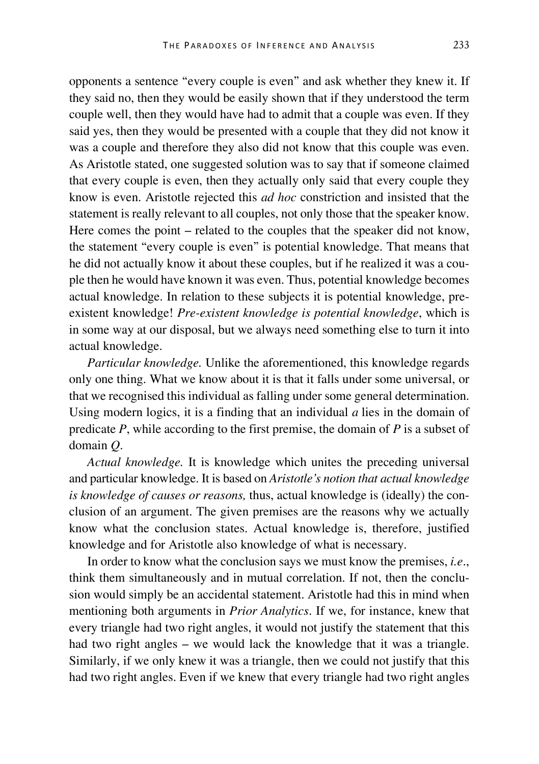opponents a sentence "every couple is even" and ask whether they knew it. If they said no, then they would be easily shown that if they understood the term couple well, then they would have had to admit that a couple was even. If they said yes, then they would be presented with a couple that they did not know it was a couple and therefore they also did not know that this couple was even. As Aristotle stated, one suggested solution was to say that if someone claimed that every couple is even, then they actually only said that every couple they know is even. Aristotle rejected this *ad hoc* constriction and insisted that the statement is really relevant to all couples, not only those that the speaker know. Here comes the point – related to the couples that the speaker did not know, the statement "every couple is even" is potential knowledge. That means that he did not actually know it about these couples, but if he realized it was a couple then he would have known it was even. Thus, potential knowledge becomes actual knowledge. In relation to these subjects it is potential knowledge, preexistent knowledge! *Pre-existent knowledge is potential knowledge*, which is in some way at our disposal, but we always need something else to turn it into actual knowledge.

*Particular knowledge.* Unlike the aforementioned, this knowledge regards only one thing. What we know about it is that it falls under some universal, or that we recognised this individual as falling under some general determination. Using modern logics, it is a finding that an individual *a* lies in the domain of predicate *P*, while according to the first premise, the domain of *P* is a subset of domain *Q*.

*Actual knowledge.* It is knowledge which unites the preceding universal and particular knowledge. It is based on *Aristotle's notion that actual knowledge is knowledge of causes or reasons,* thus, actual knowledge is (ideally) the conclusion of an argument. The given premises are the reasons why we actually know what the conclusion states. Actual knowledge is, therefore, justified knowledge and for Aristotle also knowledge of what is necessary.

In order to know what the conclusion says we must know the premises, *i.e*., think them simultaneously and in mutual correlation. If not, then the conclusion would simply be an accidental statement. Aristotle had this in mind when mentioning both arguments in *Prior Analytics*. If we, for instance, knew that every triangle had two right angles, it would not justify the statement that this had two right angles – we would lack the knowledge that it was a triangle. Similarly, if we only knew it was a triangle, then we could not justify that this had two right angles. Even if we knew that every triangle had two right angles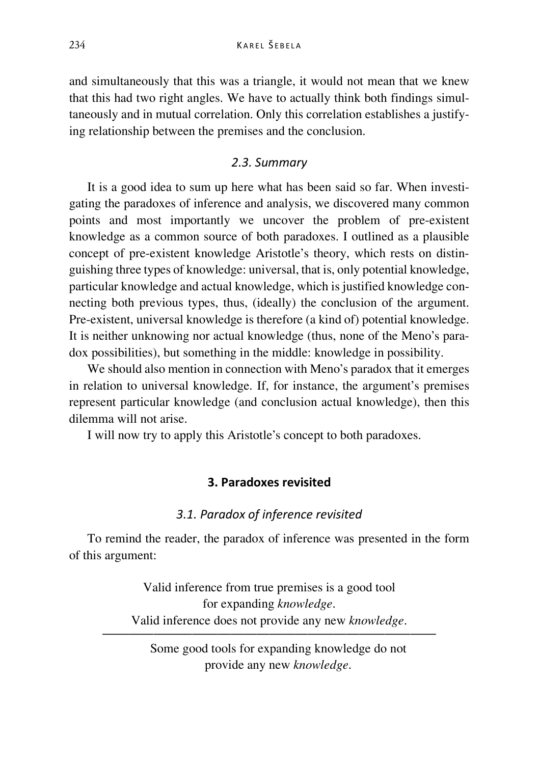and simultaneously that this was a triangle, it would not mean that we knew that this had two right angles. We have to actually think both findings simultaneously and in mutual correlation. Only this correlation establishes a justifying relationship between the premises and the conclusion.

# *2.3. Summary*

It is a good idea to sum up here what has been said so far. When investigating the paradoxes of inference and analysis, we discovered many common points and most importantly we uncover the problem of pre-existent knowledge as a common source of both paradoxes. I outlined as a plausible concept of pre-existent knowledge Aristotle's theory, which rests on distinguishing three types of knowledge: universal, that is, only potential knowledge, particular knowledge and actual knowledge, which is justified knowledge connecting both previous types, thus, (ideally) the conclusion of the argument. Pre-existent, universal knowledge is therefore (a kind of) potential knowledge. It is neither unknowing nor actual knowledge (thus, none of the Meno's paradox possibilities), but something in the middle: knowledge in possibility.

We should also mention in connection with Meno's paradox that it emerges in relation to universal knowledge. If, for instance, the argument's premises represent particular knowledge (and conclusion actual knowledge), then this dilemma will not arise.

I will now try to apply this Aristotle's concept to both paradoxes.

# **3. Paradoxes revisited**

# *3.1. Paradox of inference revisited*

To remind the reader, the paradox of inference was presented in the form of this argument:

> Valid inference from true premises is a good tool for expanding *knowledge*. Valid inference does not provide any new *knowledge*.

——————————————————————————

Some good tools for expanding knowledge do not provide any new *knowledge*.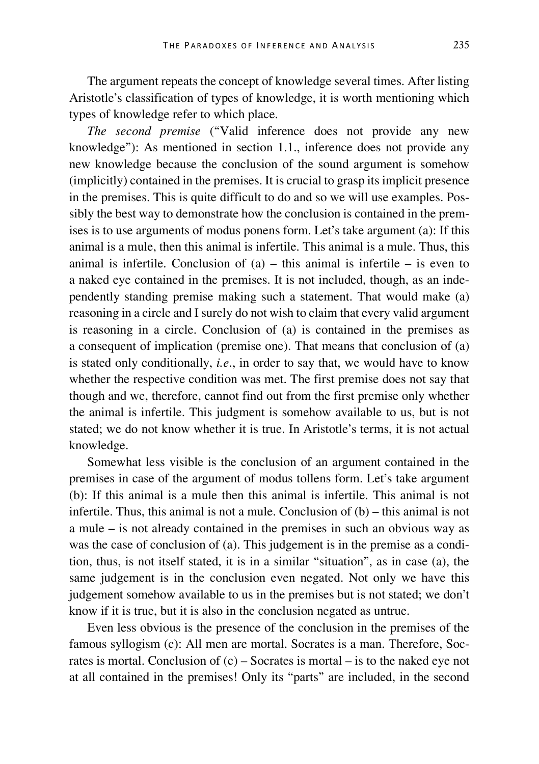The argument repeats the concept of knowledge several times. After listing Aristotle's classification of types of knowledge, it is worth mentioning which types of knowledge refer to which place.

*The second premise* ("Valid inference does not provide any new knowledge"): As mentioned in section 1.1., inference does not provide any new knowledge because the conclusion of the sound argument is somehow (implicitly) contained in the premises. It is crucial to grasp its implicit presence in the premises. This is quite difficult to do and so we will use examples. Possibly the best way to demonstrate how the conclusion is contained in the premises is to use arguments of modus ponens form. Let's take argument (a): If this animal is a mule, then this animal is infertile. This animal is a mule. Thus, this animal is infertile. Conclusion of  $(a)$  – this animal is infertile – is even to a naked eye contained in the premises. It is not included, though, as an independently standing premise making such a statement. That would make (a) reasoning in a circle and I surely do not wish to claim that every valid argument is reasoning in a circle. Conclusion of (a) is contained in the premises as a consequent of implication (premise one). That means that conclusion of (a) is stated only conditionally, *i.e*., in order to say that, we would have to know whether the respective condition was met. The first premise does not say that though and we, therefore, cannot find out from the first premise only whether the animal is infertile. This judgment is somehow available to us, but is not stated; we do not know whether it is true. In Aristotle's terms, it is not actual knowledge.

Somewhat less visible is the conclusion of an argument contained in the premises in case of the argument of modus tollens form. Let's take argument (b): If this animal is a mule then this animal is infertile. This animal is not infertile. Thus, this animal is not a mule. Conclusion of (b) – this animal is not a mule – is not already contained in the premises in such an obvious way as was the case of conclusion of (a). This judgement is in the premise as a condition, thus, is not itself stated, it is in a similar "situation", as in case (a), the same judgement is in the conclusion even negated. Not only we have this judgement somehow available to us in the premises but is not stated; we don't know if it is true, but it is also in the conclusion negated as untrue.

Even less obvious is the presence of the conclusion in the premises of the famous syllogism (c): All men are mortal. Socrates is a man. Therefore, Socrates is mortal. Conclusion of  $(c)$  – Socrates is mortal – is to the naked eye not at all contained in the premises! Only its "parts" are included, in the second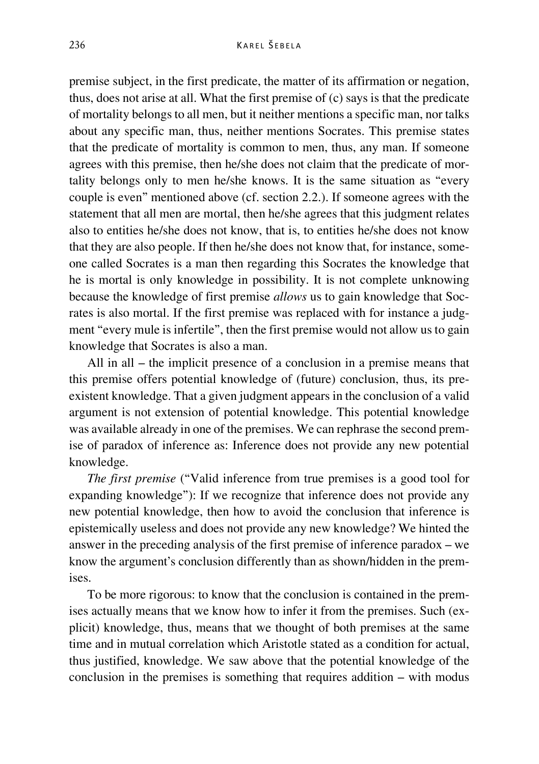premise subject, in the first predicate, the matter of its affirmation or negation, thus, does not arise at all. What the first premise of (c) says is that the predicate of mortality belongs to all men, but it neither mentions a specific man, nor talks about any specific man, thus, neither mentions Socrates. This premise states that the predicate of mortality is common to men, thus, any man. If someone agrees with this premise, then he/she does not claim that the predicate of mortality belongs only to men he/she knows. It is the same situation as "every couple is even" mentioned above (cf. section 2.2.). If someone agrees with the statement that all men are mortal, then he/she agrees that this judgment relates also to entities he/she does not know, that is, to entities he/she does not know that they are also people. If then he/she does not know that, for instance, someone called Socrates is a man then regarding this Socrates the knowledge that he is mortal is only knowledge in possibility. It is not complete unknowing because the knowledge of first premise *allows* us to gain knowledge that Socrates is also mortal. If the first premise was replaced with for instance a judgment "every mule is infertile", then the first premise would not allow us to gain knowledge that Socrates is also a man.

All in all – the implicit presence of a conclusion in a premise means that this premise offers potential knowledge of (future) conclusion, thus, its preexistent knowledge. That a given judgment appears in the conclusion of a valid argument is not extension of potential knowledge. This potential knowledge was available already in one of the premises. We can rephrase the second premise of paradox of inference as: Inference does not provide any new potential knowledge.

*The first premise* ("Valid inference from true premises is a good tool for expanding knowledge"): If we recognize that inference does not provide any new potential knowledge, then how to avoid the conclusion that inference is epistemically useless and does not provide any new knowledge? We hinted the answer in the preceding analysis of the first premise of inference paradox – we know the argument's conclusion differently than as shown/hidden in the premises.

To be more rigorous: to know that the conclusion is contained in the premises actually means that we know how to infer it from the premises. Such (explicit) knowledge, thus, means that we thought of both premises at the same time and in mutual correlation which Aristotle stated as a condition for actual, thus justified, knowledge. We saw above that the potential knowledge of the conclusion in the premises is something that requires addition – with modus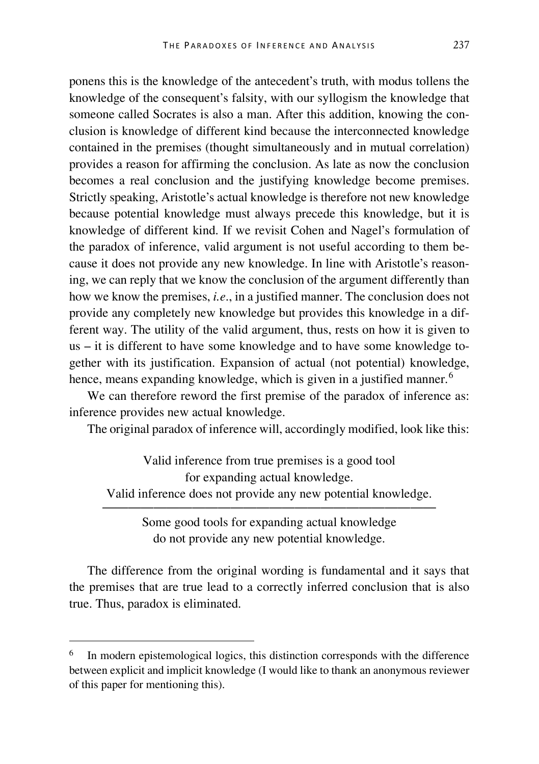ponens this is the knowledge of the antecedent's truth, with modus tollens the knowledge of the consequent's falsity, with our syllogism the knowledge that someone called Socrates is also a man. After this addition, knowing the conclusion is knowledge of different kind because the interconnected knowledge contained in the premises (thought simultaneously and in mutual correlation) provides a reason for affirming the conclusion. As late as now the conclusion becomes a real conclusion and the justifying knowledge become premises. Strictly speaking, Aristotle's actual knowledge is therefore not new knowledge because potential knowledge must always precede this knowledge, but it is knowledge of different kind. If we revisit Cohen and Nagel's formulation of the paradox of inference, valid argument is not useful according to them because it does not provide any new knowledge. In line with Aristotle's reasoning, we can reply that we know the conclusion of the argument differently than how we know the premises, *i.e*., in a justified manner. The conclusion does not provide any completely new knowledge but provides this knowledge in a different way. The utility of the valid argument, thus, rests on how it is given to us – it is different to have some knowledge and to have some knowledge together with its justification. Expansion of actual (not potential) knowledge, hence, means expanding knowledge, which is given in a justified manner.<sup>[6](#page-15-0)</sup>

We can therefore reword the first premise of the paradox of inference as: inference provides new actual knowledge.

The original paradox of inference will, accordingly modified, look like this:

Valid inference from true premises is a good tool for expanding actual knowledge. Valid inference does not provide any new potential knowledge. ——————————————————————————

Some good tools for expanding actual knowledge do not provide any new potential knowledge.

The difference from the original wording is fundamental and it says that the premises that are true lead to a correctly inferred conclusion that is also true. Thus, paradox is eliminated.

<span id="page-15-0"></span>In modern epistemological logics, this distinction corresponds with the difference between explicit and implicit knowledge (I would like to thank an anonymous reviewer of this paper for mentioning this).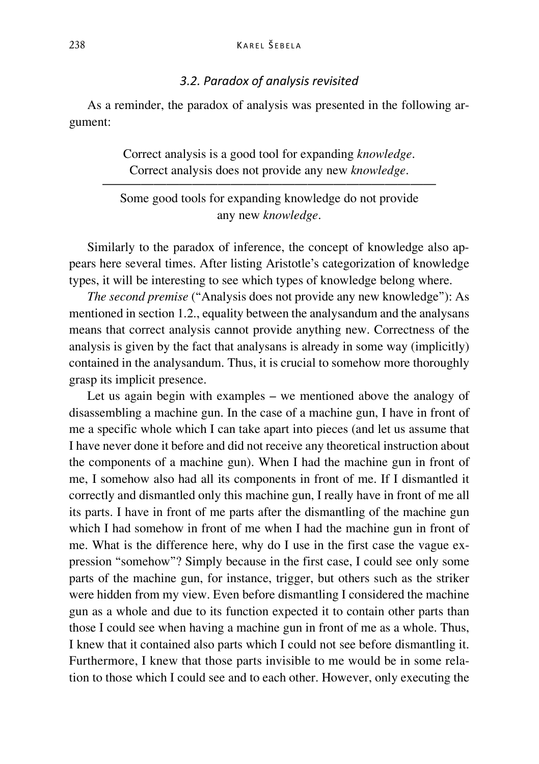#### *3.2. Paradox of analysis revisited*

As a reminder, the paradox of analysis was presented in the following argument:

> Correct analysis is a good tool for expanding *knowledge*. Correct analysis does not provide any new *knowledge*.

—————————————————————————— Some good tools for expanding knowledge do not provide any new *knowledge*.

Similarly to the paradox of inference, the concept of knowledge also appears here several times. After listing Aristotle's categorization of knowledge types, it will be interesting to see which types of knowledge belong where.

*The second premise* ("Analysis does not provide any new knowledge"): As mentioned in section 1.2., equality between the analysandum and the analysans means that correct analysis cannot provide anything new. Correctness of the analysis is given by the fact that analysans is already in some way (implicitly) contained in the analysandum. Thus, it is crucial to somehow more thoroughly grasp its implicit presence.

Let us again begin with examples – we mentioned above the analogy of disassembling a machine gun. In the case of a machine gun, I have in front of me a specific whole which I can take apart into pieces (and let us assume that I have never done it before and did not receive any theoretical instruction about the components of a machine gun). When I had the machine gun in front of me, I somehow also had all its components in front of me. If I dismantled it correctly and dismantled only this machine gun, I really have in front of me all its parts. I have in front of me parts after the dismantling of the machine gun which I had somehow in front of me when I had the machine gun in front of me. What is the difference here, why do I use in the first case the vague expression "somehow"? Simply because in the first case, I could see only some parts of the machine gun, for instance, trigger, but others such as the striker were hidden from my view. Even before dismantling I considered the machine gun as a whole and due to its function expected it to contain other parts than those I could see when having a machine gun in front of me as a whole. Thus, I knew that it contained also parts which I could not see before dismantling it. Furthermore, I knew that those parts invisible to me would be in some relation to those which I could see and to each other. However, only executing the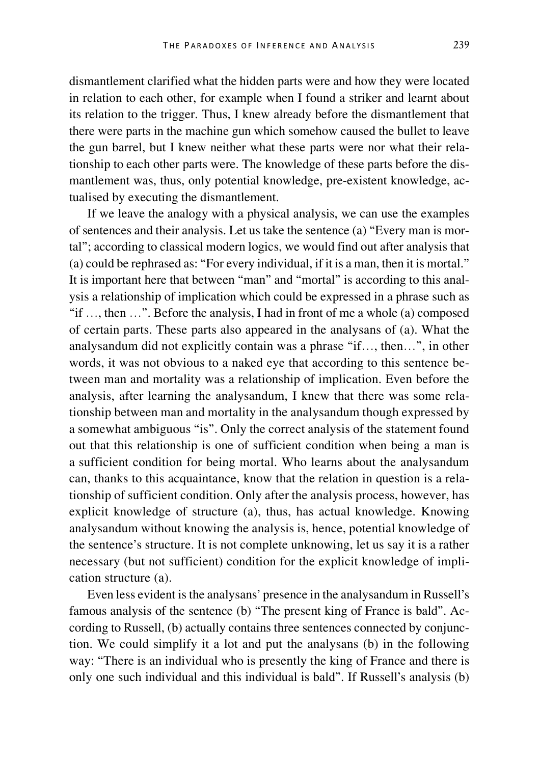dismantlement clarified what the hidden parts were and how they were located in relation to each other, for example when I found a striker and learnt about its relation to the trigger. Thus, I knew already before the dismantlement that there were parts in the machine gun which somehow caused the bullet to leave the gun barrel, but I knew neither what these parts were nor what their relationship to each other parts were. The knowledge of these parts before the dismantlement was, thus, only potential knowledge, pre-existent knowledge, actualised by executing the dismantlement.

If we leave the analogy with a physical analysis, we can use the examples of sentences and their analysis. Let us take the sentence (a) "Every man is mortal"; according to classical modern logics, we would find out after analysis that (a) could be rephrased as: "For every individual, if it is a man, then it is mortal." It is important here that between "man" and "mortal" is according to this analysis a relationship of implication which could be expressed in a phrase such as "if …, then …". Before the analysis, I had in front of me a whole (a) composed of certain parts. These parts also appeared in the analysans of (a). What the analysandum did not explicitly contain was a phrase "if…, then…", in other words, it was not obvious to a naked eye that according to this sentence between man and mortality was a relationship of implication. Even before the analysis, after learning the analysandum, I knew that there was some relationship between man and mortality in the analysandum though expressed by a somewhat ambiguous "is". Only the correct analysis of the statement found out that this relationship is one of sufficient condition when being a man is a sufficient condition for being mortal. Who learns about the analysandum can, thanks to this acquaintance, know that the relation in question is a relationship of sufficient condition. Only after the analysis process, however, has explicit knowledge of structure (a), thus, has actual knowledge. Knowing analysandum without knowing the analysis is, hence, potential knowledge of the sentence's structure. It is not complete unknowing, let us say it is a rather necessary (but not sufficient) condition for the explicit knowledge of implication structure (a).

Even less evident is the analysans' presence in the analysandum in Russell's famous analysis of the sentence (b) "The present king of France is bald". According to Russell, (b) actually contains three sentences connected by conjunction. We could simplify it a lot and put the analysans (b) in the following way: "There is an individual who is presently the king of France and there is only one such individual and this individual is bald". If Russell's analysis (b)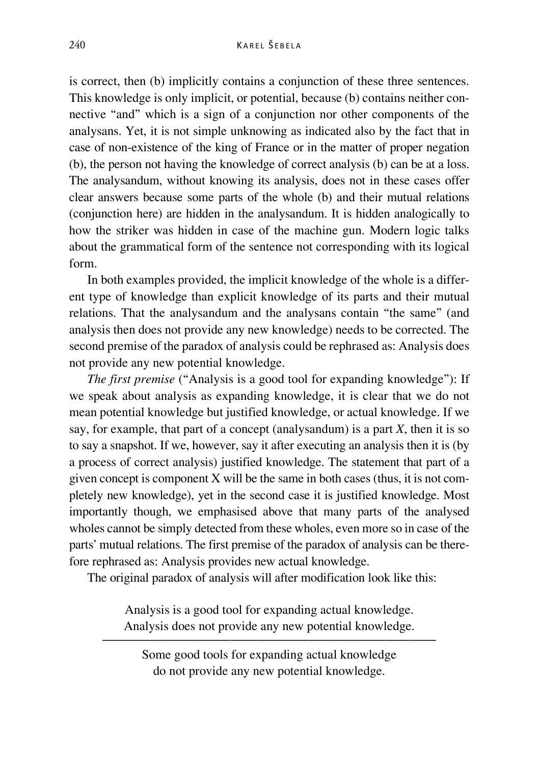is correct, then (b) implicitly contains a conjunction of these three sentences. This knowledge is only implicit, or potential, because (b) contains neither connective "and" which is a sign of a conjunction nor other components of the analysans. Yet, it is not simple unknowing as indicated also by the fact that in case of non-existence of the king of France or in the matter of proper negation (b), the person not having the knowledge of correct analysis (b) can be at a loss. The analysandum, without knowing its analysis, does not in these cases offer clear answers because some parts of the whole (b) and their mutual relations (conjunction here) are hidden in the analysandum. It is hidden analogically to how the striker was hidden in case of the machine gun. Modern logic talks about the grammatical form of the sentence not corresponding with its logical form.

In both examples provided, the implicit knowledge of the whole is a different type of knowledge than explicit knowledge of its parts and their mutual relations. That the analysandum and the analysans contain "the same" (and analysis then does not provide any new knowledge) needs to be corrected. The second premise of the paradox of analysis could be rephrased as: Analysis does not provide any new potential knowledge.

*The first premise* ("Analysis is a good tool for expanding knowledge"): If we speak about analysis as expanding knowledge, it is clear that we do not mean potential knowledge but justified knowledge, or actual knowledge. If we say, for example, that part of a concept (analysandum) is a part *X*, then it is so to say a snapshot. If we, however, say it after executing an analysis then it is (by a process of correct analysis) justified knowledge. The statement that part of a given concept is component X will be the same in both cases (thus, it is not completely new knowledge), yet in the second case it is justified knowledge. Most importantly though, we emphasised above that many parts of the analysed wholes cannot be simply detected from these wholes, even more so in case of the parts' mutual relations. The first premise of the paradox of analysis can be therefore rephrased as: Analysis provides new actual knowledge.

The original paradox of analysis will after modification look like this:

Analysis is a good tool for expanding actual knowledge. Analysis does not provide any new potential knowledge.

—————————————————————————— Some good tools for expanding actual knowledge do not provide any new potential knowledge.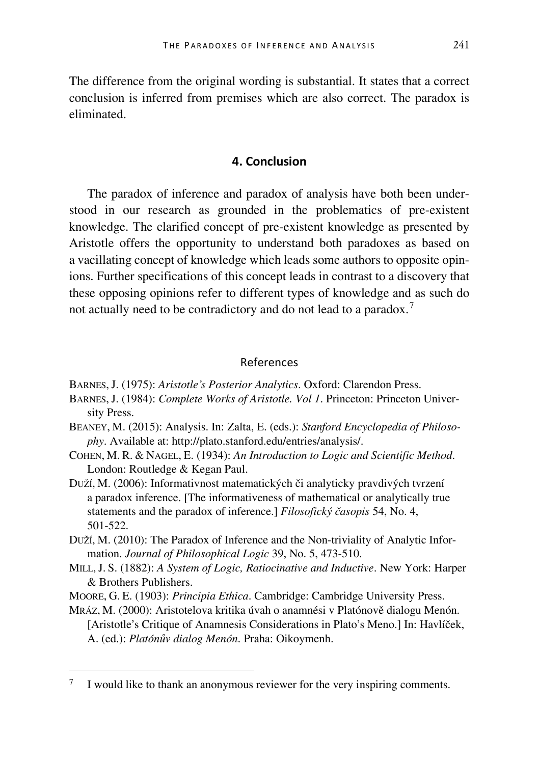The difference from the original wording is substantial. It states that a correct conclusion is inferred from premises which are also correct. The paradox is eliminated.

### **4. Conclusion**

The paradox of inference and paradox of analysis have both been understood in our research as grounded in the problematics of pre-existent knowledge. The clarified concept of pre-existent knowledge as presented by Aristotle offers the opportunity to understand both paradoxes as based on a vacillating concept of knowledge which leads some authors to opposite opinions. Further specifications of this concept leads in contrast to a discovery that these opposing opinions refer to different types of knowledge and as such do not actually need to be contradictory and do not lead to a paradox.<sup>[7](#page-19-0)</sup>

#### References

BARNES, J. (1975): *Aristotle's Posterior Analytics*. Oxford: Clarendon Press.

- BARNES, J. (1984): *Complete Works of Aristotle. Vol 1*. Princeton: Princeton University Press.
- BEANEY, M. (2015): Analysis. In: Zalta, E. (eds.): *Stanford Encyclopedia of Philosophy*. Available at: http://plato.stanford.edu/entries/analysis/.
- COHEN, M. R. & NAGEL, E. (1934): *An Introduction to Logic and Scientific Method*. London: Routledge & Kegan Paul.
- DUŽÍ, M. (2006): Informativnost matematických či analyticky pravdivých tvrzení a paradox inference. [The informativeness of mathematical or analytically true statements and the paradox of inference.] *Filosofický časopis* 54, No. 4, 501-522.
- DUŽÍ, M. (2010): The Paradox of Inference and the Non-triviality of Analytic Information. *Journal of Philosophical Logic* 39, No. 5, 473-510.
- MILL, J. S. (1882): *A System of Logic, Ratiocinative and Inductive*. New York: Harper & Brothers Publishers.
- MOORE, G. E. (1903): *Principia Ethica*. Cambridge: Cambridge University Press.
- MRÁZ, M. (2000): Aristotelova kritika úvah o anamnési v Platónově dialogu Menón. [Aristotle's Critique of Anamnesis Considerations in Plato's Meno.] In: Havlíček, A. (ed.): *Platónův dialog Menón*. Praha: Oikoymenh.

<span id="page-19-0"></span> <sup>7</sup> I would like to thank an anonymous reviewer for the very inspiring comments.